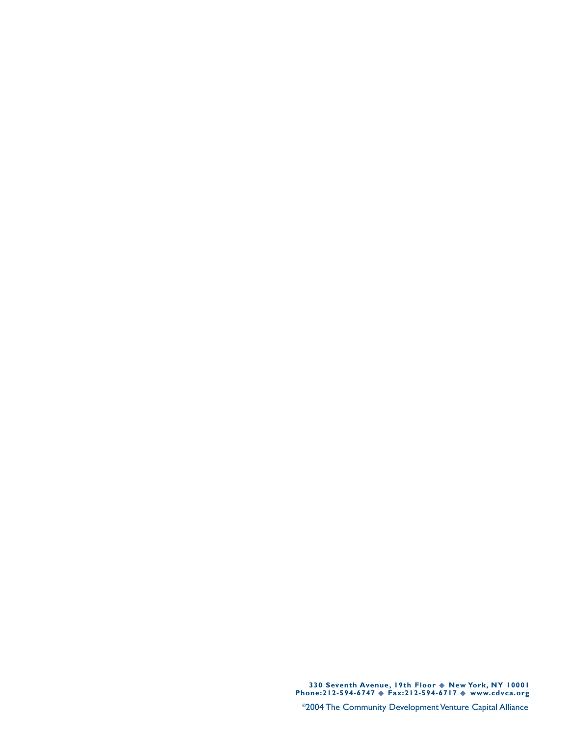**330 Seventh Avenue, 19th Floor** ◆ **New York, NY 10001 Phone:212-594-6747** ◆ **Fax:212-594-6717** ◆ **www.cdvca.org**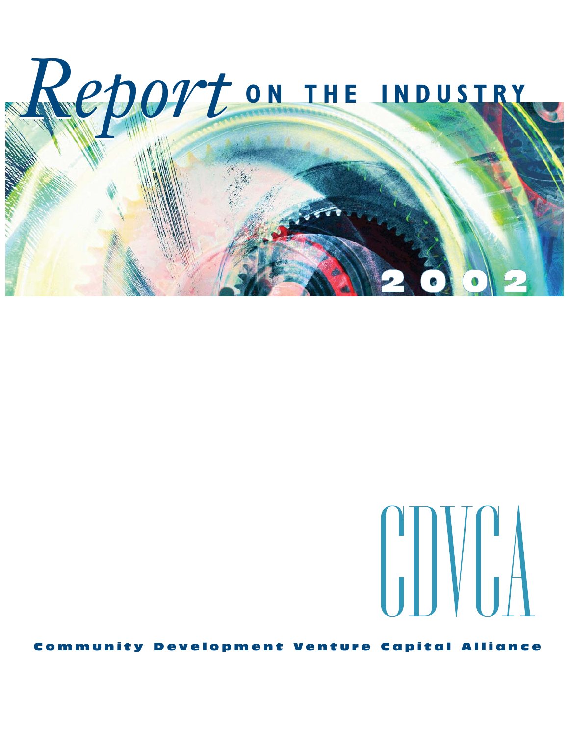



Community Development Venture Capital Alliance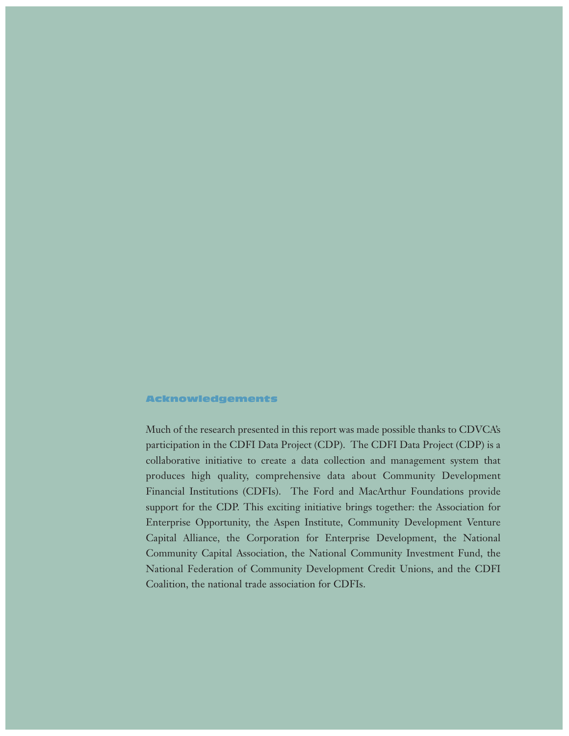### Acknowledgements

Much of the research presented in this report was made possible thanks to CDVCA's participation in the CDFI Data Project (CDP). The CDFI Data Project (CDP) is a collaborative initiative to create a data collection and management system that produces high quality, comprehensive data about Community Development Financial Institutions (CDFIs). The Ford and MacArthur Foundations provide support for the CDP. This exciting initiative brings together: the Association for Enterprise Opportunity, the Aspen Institute, Community Development Venture Capital Alliance, the Corporation for Enterprise Development, the National Community Capital Association, the National Community Investment Fund, the National Federation of Community Development Credit Unions, and the CDFI Coalition, the national trade association for CDFIs.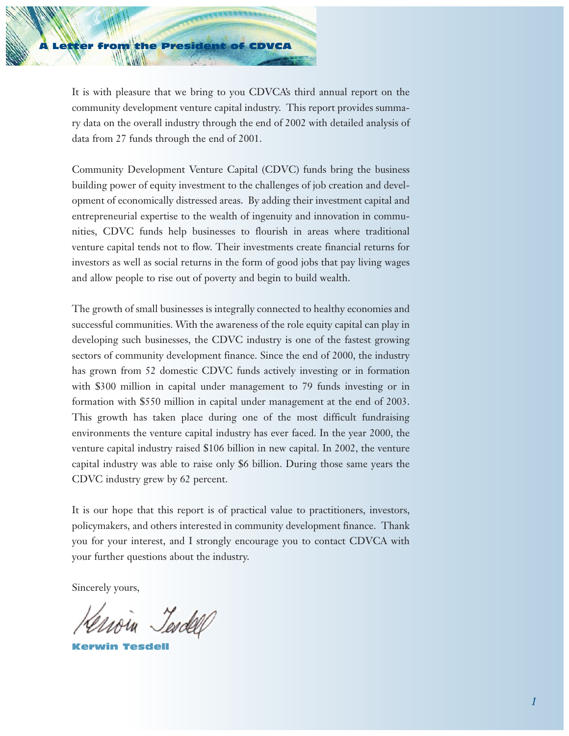

It is with pleasure that we bring to you CDVCA's third annual report on the community development venture capital industry. This report provides summary data on the overall industry through the end of 2002 with detailed analysis of data from 27 funds through the end of 2001.

Community Development Venture Capital (CDVC) funds bring the business building power of equity investment to the challenges of job creation and development of economically distressed areas. By adding their investment capital and entrepreneurial expertise to the wealth of ingenuity and innovation in communities, CDVC funds help businesses to flourish in areas where traditional venture capital tends not to flow. Their investments create financial returns for investors as well as social returns in the form of good jobs that pay living wages and allow people to rise out of poverty and begin to build wealth.

The growth of small businesses is integrally connected to healthy economies and successful communities. With the awareness of the role equity capital can play in developing such businesses, the CDVC industry is one of the fastest growing sectors of community development finance. Since the end of 2000, the industry has grown from 52 domestic CDVC funds actively investing or in formation with \$300 million in capital under management to 79 funds investing or in formation with \$550 million in capital under management at the end of 2003. This growth has taken place during one of the most difficult fundraising environments the venture capital industry has ever faced. In the year 2000, the venture capital industry raised \$106 billion in new capital. In 2002, the venture capital industry was able to raise only \$6 billion. During those same years the CDVC industry grew by 62 percent.

It is our hope that this report is of practical value to practitioners, investors, policymakers, and others interested in community development finance. Thank you for your interest, and I strongly encourage you to contact CDVCA with your further questions about the industry.

Sincerely yours,

Tesdell

Kerwin Tesdell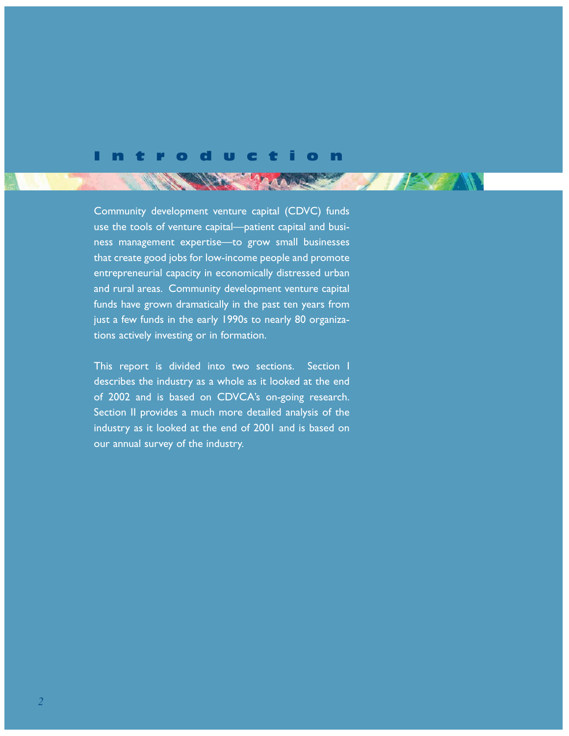## Introduction

**STARTING AND** 

Community development venture capital (CDVC) funds use the tools of venture capital—patient capital and business management expertise—to grow small businesses that create good jobs for low-income people and promote entrepreneurial capacity in economically distressed urban and rural areas. Community development venture capital funds have grown dramatically in the past ten years from just a few funds in the early 1990s to nearly 80 organizations actively investing or in formation.

This report is divided into two sections. Section I describes the industry as a whole as it looked at the end of 2002 and is based on CDVCA's on-going research. Section II provides a much more detailed analysis of the industry as it looked at the end of 2001 and is based on our annual survey of the industry.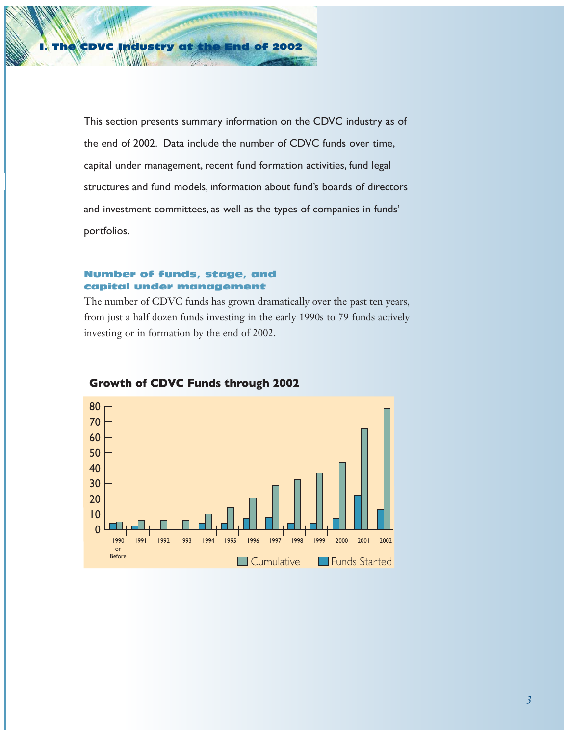

This section presents summary information on the CDVC industry as of the end of 2002. Data include the number of CDVC funds over time, capital under management, recent fund formation activities, fund legal structures and fund models, information about fund's boards of directors and investment committees, as well as the types of companies in funds' portfolios.

## Number of funds, stage, and capital under management

The number of CDVC funds has grown dramatically over the past ten years, from just a half dozen funds investing in the early 1990s to 79 funds actively investing or in formation by the end of 2002.



## **Growth of CDVC Funds through 2002**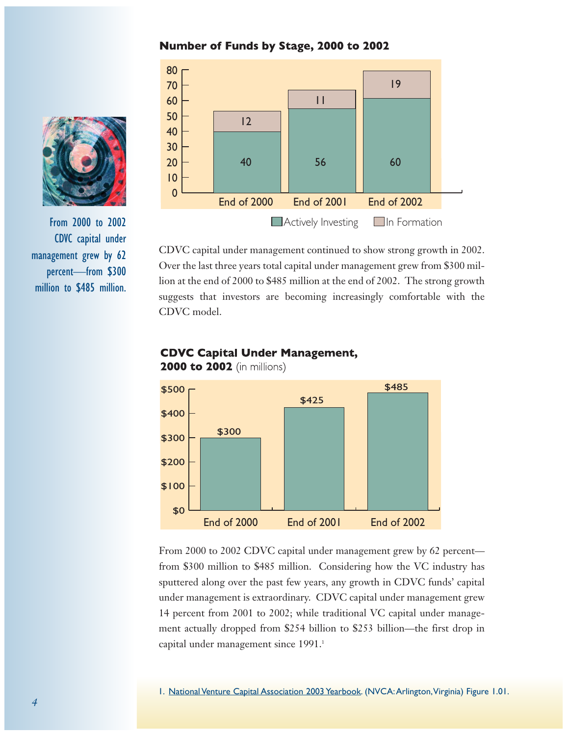## Number of Funds by Stage, 2000 to 2002



CDVC capital under management continued to show strong growth in 2002. Over the last three years total capital under management grew from \$300 million at the end of 2000 to \$485 million at the end of 2002. The strong growth suggests that investors are becoming increasingly comfortable with the CDVC model.

# **CDVC Capital Under Management,**



**2000 to 2002** (in millions)

From 2000 to 2002 CDVC capital under management grew by 62 percent from \$300 million to \$485 million. Considering how the VC industry has sputtered along over the past few years, any growth in CDVC funds' capital under management is extraordinary. CDVC capital under management grew 14 percent from 2001 to 2002; while traditional VC capital under management actually dropped from \$254 billion to \$253 billion—the first drop in capital under management since 1991.<sup>1</sup>



From 2000 to 2002 CDVC capital under management grew by 62 percent—from \$300 million to \$485 million.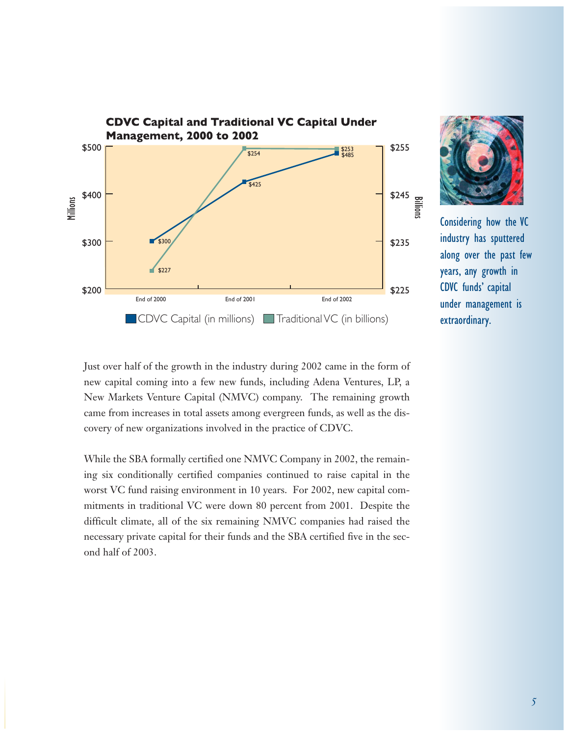



Considering how the VC industry has sputtered along over the past few years, any growth in CDVC funds' capital under management is extraordinary.

Just over half of the growth in the industry during 2002 came in the form of new capital coming into a few new funds, including Adena Ventures, LP, a New Markets Venture Capital (NMVC) company. The remaining growth came from increases in total assets among evergreen funds, as well as the discovery of new organizations involved in the practice of CDVC.

While the SBA formally certified one NMVC Company in 2002, the remaining six conditionally certified companies continued to raise capital in the worst VC fund raising environment in 10 years. For 2002, new capital commitments in traditional VC were down 80 percent from 2001. Despite the difficult climate, all of the six remaining NMVC companies had raised the necessary private capital for their funds and the SBA certified five in the second half of 2003.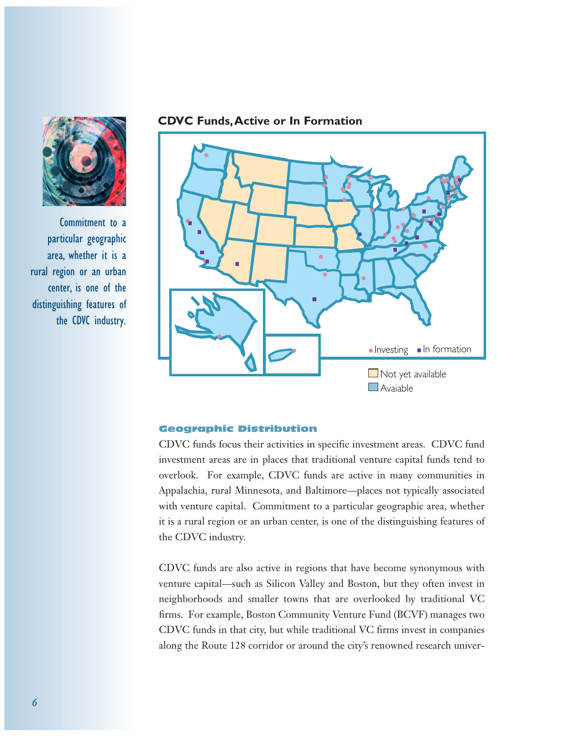

Commitment to a particular geographic area, whether it is a rural region or an urban center, is one of the distinguishing features of the CDVC industry.

## **CDVC Funds,Active or In Formation**



## Geographic Distribution

CDVC funds focus their activities in specific investment areas. CDVC fund investment areas are in places that traditional venture capital funds tend to overlook. For example, CDVC funds are active in many communities in Appalachia, rural Minnesota, and Baltimore—places not typically associated with venture capital. Commitment to a particular geographic area, whether it is a rural region or an urban center, is one of the distinguishing features of the CDVC industry.

CDVC funds are also active in regions that have become synonymous with venture capital—such as Silicon Valley and Boston, but they often invest in neighborhoods and smaller towns that are overlooked by traditional VC firms. For example, Boston Community Venture Fund (BCVF) manages two CDVC funds in that city, but while traditional VC firms invest in companies along the Route 128 corridor or around the city's renowned research univer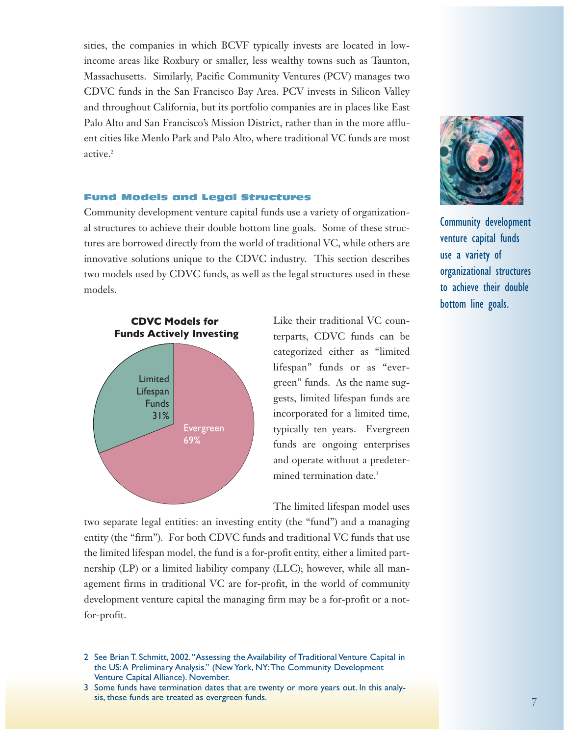sities, the companies in which BCVF typically invests are located in lowincome areas like Roxbury or smaller, less wealthy towns such as Taunton, Massachusetts. Similarly, Pacific Community Ventures (PCV) manages two CDVC funds in the San Francisco Bay Area. PCV invests in Silicon Valley and throughout California, but its portfolio companies are in places like East Palo Alto and San Francisco's Mission District, rather than in the more affluent cities like Menlo Park and Palo Alto, where traditional VC funds are most active.<sup>2</sup>

## Fund Models and Legal Structures

Community development venture capital funds use a variety of organizational structures to achieve their double bottom line goals. Some of these structures are borrowed directly from the world of traditional VC, while others are innovative solutions unique to the CDVC industry. This section describes two models used by CDVC funds, as well as the legal structures used in these models.



Like their traditional VC counterparts, CDVC funds can be categorized either as "limited lifespan" funds or as "evergreen" funds. As the name suggests, limited lifespan funds are incorporated for a limited time, typically ten years. Evergreen funds are ongoing enterprises and operate without a predetermined termination date.<sup>3</sup>

The limited lifespan model uses

two separate legal entities: an investing entity (the "fund") and a managing entity (the "firm"). For both CDVC funds and traditional VC funds that use the limited lifespan model, the fund is a for-profit entity, either a limited partnership (LP) or a limited liability company (LLC); however, while all management firms in traditional VC are for-profit, in the world of community development venture capital the managing firm may be a for-profit or a notfor-profit.



Community development venture capital funds use a variety of organizational structures to achieve their double bottom line goals.

<sup>2</sup> See Brian T. Schmitt, 2002."Assessing the Availability of Traditional Venture Capital in the US:A Preliminary Analysis." (New York, NY:The Community Development Venture Capital Alliance). November.

<sup>3</sup> Some funds have termination dates that are twenty or more years out. In this analysis, these funds are treated as evergreen funds.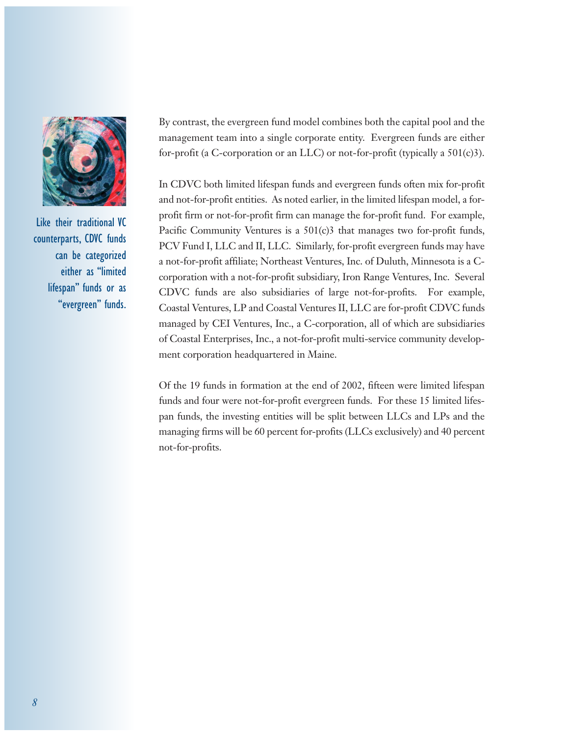

Like their traditional VC counterparts, CDVC funds can be categorized either as "limited lifespan" funds or as "evergreen" funds.

By contrast, the evergreen fund model combines both the capital pool and the management team into a single corporate entity. Evergreen funds are either for-profit (a C-corporation or an LLC) or not-for-profit (typically a 501(c)3).

In CDVC both limited lifespan funds and evergreen funds often mix for-profit and not-for-profit entities. As noted earlier, in the limited lifespan model, a forprofit firm or not-for-profit firm can manage the for-profit fund. For example, Pacific Community Ventures is a 501(c)3 that manages two for-profit funds, PCV Fund I, LLC and II, LLC. Similarly, for-profit evergreen funds may have a not-for-profit affiliate; Northeast Ventures, Inc. of Duluth, Minnesota is a Ccorporation with a not-for-profit subsidiary, Iron Range Ventures, Inc. Several CDVC funds are also subsidiaries of large not-for-profits. For example, Coastal Ventures, LP and Coastal Ventures II, LLC are for-profit CDVC funds managed by CEI Ventures, Inc., a C-corporation, all of which are subsidiaries of Coastal Enterprises, Inc., a not-for-profit multi-service community development corporation headquartered in Maine.

Of the 19 funds in formation at the end of 2002, fifteen were limited lifespan funds and four were not-for-profit evergreen funds. For these 15 limited lifespan funds, the investing entities will be split between LLCs and LPs and the managing firms will be 60 percent for-profits (LLCs exclusively) and 40 percent not-for-profits.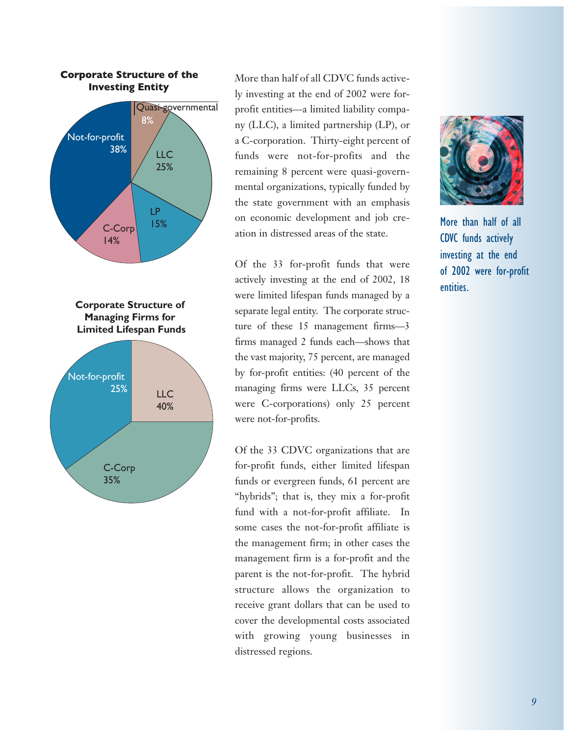

## **Corporate Structure of the Investing Entity**

More than half of all CDVC funds actively investing at the end of 2002 were forprofit entities—a limited liability company (LLC), a limited partnership (LP), or a C-corporation. Thirty-eight percent of funds were not-for-profits and the remaining 8 percent were quasi-governmental organizations, typically funded by the state government with an emphasis on economic development and job creation in distressed areas of the state.

Of the 33 for-profit funds that were actively investing at the end of 2002, 18 were limited lifespan funds managed by a separate legal entity. The corporate structure of these 15 management firms—3 firms managed 2 funds each—shows that the vast majority, 75 percent, are managed by for-profit entities: (40 percent of the managing firms were LLCs, 35 percent were C-corporations) only 25 percent were not-for-profits.

Of the 33 CDVC organizations that are for-profit funds, either limited lifespan funds or evergreen funds, 61 percent are "hybrids"; that is, they mix a for-profit fund with a not-for-profit affiliate. In some cases the not-for-profit affiliate is the management firm; in other cases the management firm is a for-profit and the parent is the not-for-profit. The hybrid structure allows the organization to receive grant dollars that can be used to cover the developmental costs associated with growing young businesses in distressed regions.



More than half of all CDVC funds actively investing at the end of 2002 were for-profit entities.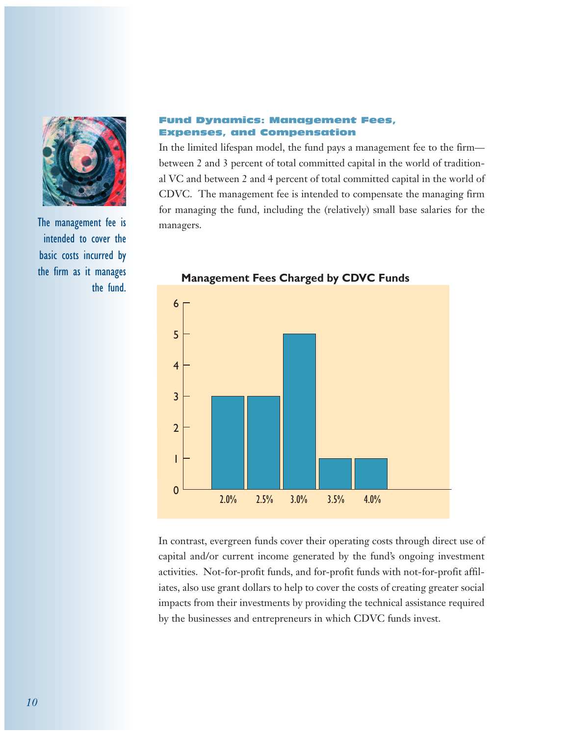

The management fee is intended to cover the basic costs incurred by the firm as it manages the fund.

## Fund Dynamics: Management Fees, Expenses, and Compensation

In the limited lifespan model, the fund pays a management fee to the firm between 2 and 3 percent of total committed capital in the world of traditional VC and between 2 and 4 percent of total committed capital in the world of CDVC. The management fee is intended to compensate the managing firm for managing the fund, including the (relatively) small base salaries for the managers.



**Management Fees Charged by CDVC Funds**

In contrast, evergreen funds cover their operating costs through direct use of capital and/or current income generated by the fund's ongoing investment activities. Not-for-profit funds, and for-profit funds with not-for-profit affiliates, also use grant dollars to help to cover the costs of creating greater social impacts from their investments by providing the technical assistance required by the businesses and entrepreneurs in which CDVC funds invest.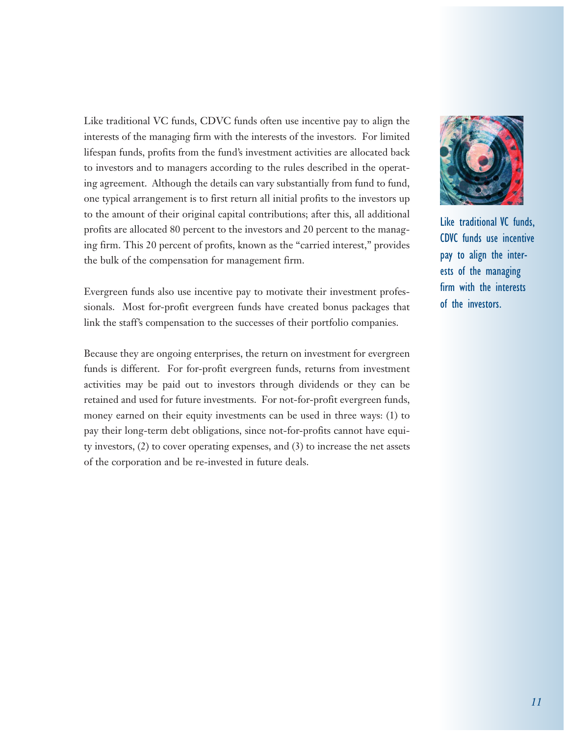Like traditional VC funds, CDVC funds often use incentive pay to align the interests of the managing firm with the interests of the investors. For limited lifespan funds, profits from the fund's investment activities are allocated back to investors and to managers according to the rules described in the operating agreement. Although the details can vary substantially from fund to fund, one typical arrangement is to first return all initial profits to the investors up to the amount of their original capital contributions; after this, all additional profits are allocated 80 percent to the investors and 20 percent to the managing firm. This 20 percent of profits, known as the "carried interest," provides the bulk of the compensation for management firm.

Evergreen funds also use incentive pay to motivate their investment professionals. Most for-profit evergreen funds have created bonus packages that link the staff's compensation to the successes of their portfolio companies.

Because they are ongoing enterprises, the return on investment for evergreen funds is different. For for-profit evergreen funds, returns from investment activities may be paid out to investors through dividends or they can be retained and used for future investments. For not-for-profit evergreen funds, money earned on their equity investments can be used in three ways: (1) to pay their long-term debt obligations, since not-for-profits cannot have equity investors, (2) to cover operating expenses, and (3) to increase the net assets of the corporation and be re-invested in future deals.



Like traditional VC funds, CDVC funds use incentive pay to align the interests of the managing firm with the interests of the investors.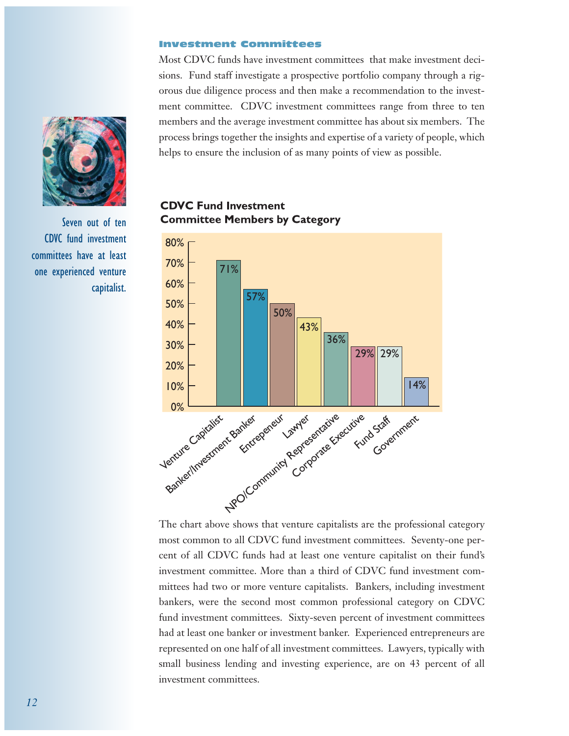#### Investment Committees

Most CDVC funds have investment committees that make investment decisions. Fund staff investigate a prospective portfolio company through a rigorous due diligence process and then make a recommendation to the investment committee. CDVC investment committees range from three to ten members and the average investment committee has about six members. The process brings together the insights and expertise of a variety of people, which helps to ensure the inclusion of as many points of view as possible.



Seven out of ten CDVC fund investment committees have at least one experienced venture capitalist.

# **CDVC Fund Investment Committee Members by Category**



The chart above shows that venture capitalists are the professional category most common to all CDVC fund investment committees. Seventy-one percent of all CDVC funds had at least one venture capitalist on their fund's investment committee. More than a third of CDVC fund investment committees had two or more venture capitalists. Bankers, including investment bankers, were the second most common professional category on CDVC fund investment committees. Sixty-seven percent of investment committees had at least one banker or investment banker. Experienced entrepreneurs are represented on one half of all investment committees. Lawyers, typically with small business lending and investing experience, are on 43 percent of all investment committees.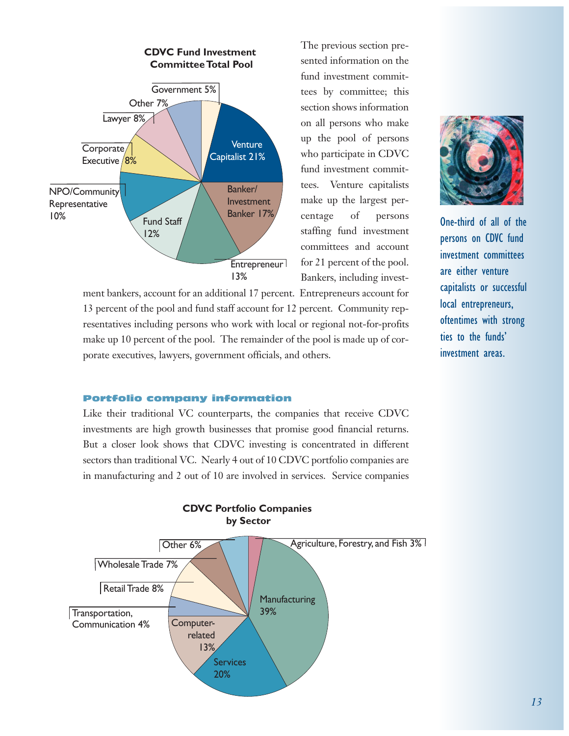

The previous section presented information on the fund investment committees by committee; this section shows information on all persons who make up the pool of persons who participate in CDVC fund investment committees. Venture capitalists make up the largest percentage of persons staffing fund investment committees and account for 21 percent of the pool. Bankers, including invest-

ment bankers, account for an additional 17 percent. Entrepreneurs account for 13 percent of the pool and fund staff account for 12 percent. Community representatives including persons who work with local or regional not-for-profits make up 10 percent of the pool. The remainder of the pool is made up of corporate executives, lawyers, government officials, and others.



One-third of all of the persons on CDVC fund investment committees are either venture capitalists or successful local entrepreneurs, oftentimes with strong ties to the funds' investment areas.

## Portfolio company information

Like their traditional VC counterparts, the companies that receive CDVC investments are high growth businesses that promise good financial returns. But a closer look shows that CDVC investing is concentrated in different sectors than traditional VC. Nearly 4 out of 10 CDVC portfolio companies are in manufacturing and 2 out of 10 are involved in services. Service companies



## **CDVC Portfolio Companies by Sector**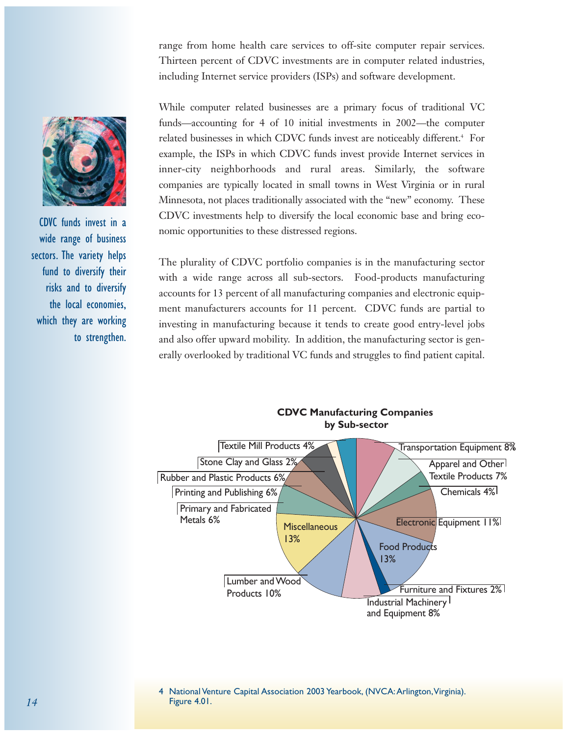range from home health care services to off-site computer repair services. Thirteen percent of CDVC investments are in computer related industries, including Internet service providers (ISPs) and software development.

While computer related businesses are a primary focus of traditional VC funds—accounting for 4 of 10 initial investments in 2002—the computer related businesses in which CDVC funds invest are noticeably different.<sup>4</sup> For example, the ISPs in which CDVC funds invest provide Internet services in inner-city neighborhoods and rural areas. Similarly, the software companies are typically located in small towns in West Virginia or in rural Minnesota, not places traditionally associated with the "new" economy. These CDVC investments help to diversify the local economic base and bring economic opportunities to these distressed regions.

The plurality of CDVC portfolio companies is in the manufacturing sector with a wide range across all sub-sectors. Food-products manufacturing accounts for 13 percent of all manufacturing companies and electronic equipment manufacturers accounts for 11 percent. CDVC funds are partial to investing in manufacturing because it tends to create good entry-level jobs and also offer upward mobility. In addition, the manufacturing sector is generally overlooked by traditional VC funds and struggles to find patient capital.





CDVC funds invest in a wide range of business sectors. The variety helps fund to diversify their risks and to diversify the local economies, which they are working to strengthen.

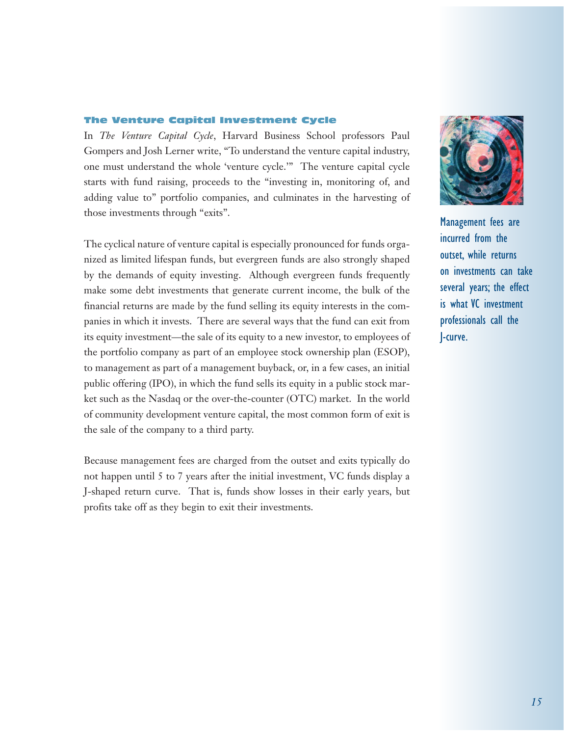## The Venture Capital Investment Cycle

In *The Venture Capital Cycle*, Harvard Business School professors Paul Gompers and Josh Lerner write, "To understand the venture capital industry, one must understand the whole 'venture cycle.'" The venture capital cycle starts with fund raising, proceeds to the "investing in, monitoring of, and adding value to" portfolio companies, and culminates in the harvesting of those investments through "exits".

The cyclical nature of venture capital is especially pronounced for funds organized as limited lifespan funds, but evergreen funds are also strongly shaped by the demands of equity investing. Although evergreen funds frequently make some debt investments that generate current income, the bulk of the financial returns are made by the fund selling its equity interests in the companies in which it invests. There are several ways that the fund can exit from its equity investment—the sale of its equity to a new investor, to employees of the portfolio company as part of an employee stock ownership plan (ESOP), to management as part of a management buyback, or, in a few cases, an initial public offering (IPO), in which the fund sells its equity in a public stock market such as the Nasdaq or the over-the-counter (OTC) market. In the world of community development venture capital, the most common form of exit is the sale of the company to a third party.

Because management fees are charged from the outset and exits typically do not happen until 5 to 7 years after the initial investment, VC funds display a J-shaped return curve. That is, funds show losses in their early years, but profits take off as they begin to exit their investments.



Management fees are incurred from the outset, while returns on investments can take several years; the effect is what VC investment professionals call the J-curve.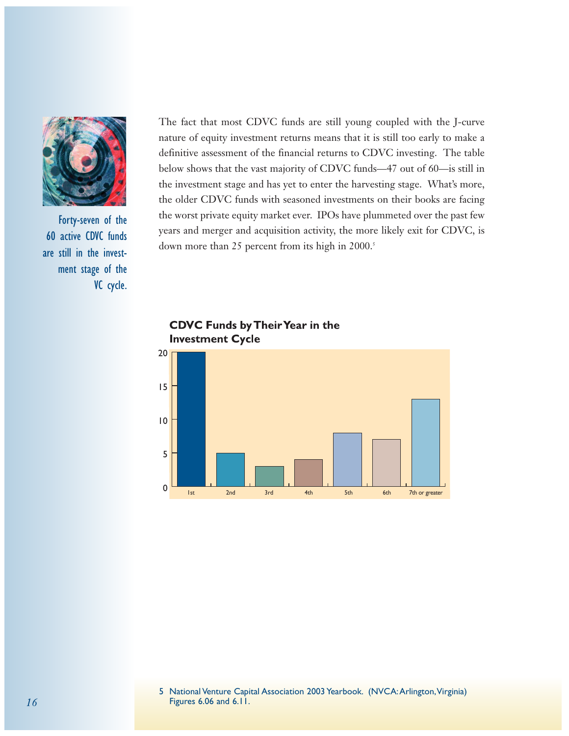

Forty-seven of the 60 active CDVC funds are still in the investment stage of the VC cycle.

The fact that most CDVC funds are still young coupled with the J-curve nature of equity investment returns means that it is still too early to make a definitive assessment of the financial returns to CDVC investing. The table below shows that the vast majority of CDVC funds—47 out of 60—is still in the investment stage and has yet to enter the harvesting stage. What's more, the older CDVC funds with seasoned investments on their books are facing the worst private equity market ever. IPOs have plummeted over the past few years and merger and acquisition activity, the more likely exit for CDVC, is down more than 25 percent from its high in 2000.<sup>5</sup>



**CDVC Funds by Their Year in the Investment Cycle**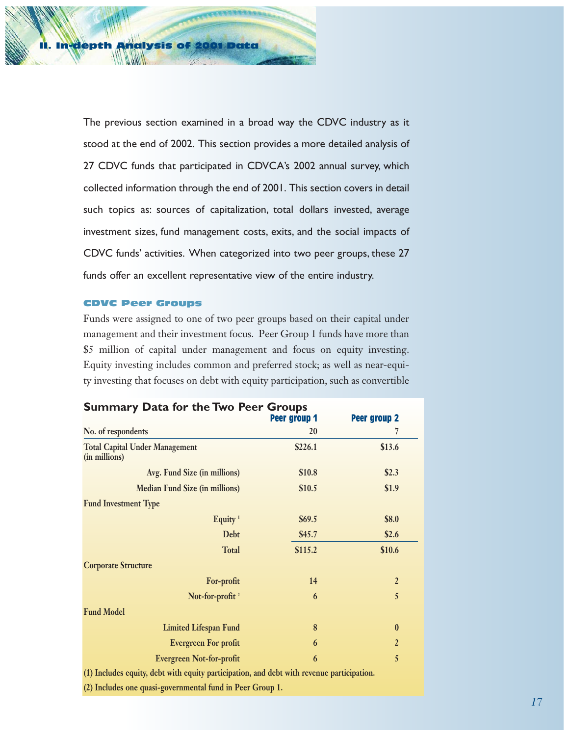**In-depth Analysis o** 

The previous section examined in a broad way the CDVC industry as it stood at the end of 2002. This section provides a more detailed analysis of 27 CDVC funds that participated in CDVCA's 2002 annual survey, which collected information through the end of 2001. This section covers in detail such topics as: sources of capitalization, total dollars invested, average investment sizes, fund management costs, exits, and the social impacts of CDVC funds' activities. When categorized into two peer groups, these 27 funds offer an excellent representative view of the entire industry.

## CDVC Peer Groups

Funds were assigned to one of two peer groups based on their capital under management and their investment focus. Peer Group 1 funds have more than \$5 million of capital under management and focus on equity investing. Equity investing includes common and preferred stock; as well as near-equity investing that focuses on debt with equity participation, such as convertible

| <b>Summary Data for the Two Peer Groups</b>                                               |              |                     |  |
|-------------------------------------------------------------------------------------------|--------------|---------------------|--|
|                                                                                           | Peer group 1 | <b>Peer group 2</b> |  |
| No. of respondents                                                                        | 20           | 7                   |  |
| <b>Total Capital Under Management</b><br>(in millions)                                    | \$226.1      | \$13.6              |  |
| Avg. Fund Size (in millions)                                                              | \$10.8       | \$2.3               |  |
| <b>Median Fund Size (in millions)</b>                                                     | \$10.5       | \$1.9               |  |
| <b>Fund Investment Type</b>                                                               |              |                     |  |
| Equity <sup>1</sup>                                                                       | \$69.5       | \$8.0               |  |
| Debt                                                                                      | \$45.7       | \$2.6               |  |
| <b>Total</b>                                                                              | \$115.2      | \$10.6              |  |
| <b>Corporate Structure</b>                                                                |              |                     |  |
| For-profit                                                                                | 14           | $\overline{2}$      |  |
| Not-for-profit $^2$                                                                       | 6            | 5                   |  |
| <b>Fund Model</b>                                                                         |              |                     |  |
| <b>Limited Lifespan Fund</b>                                                              | 8            | $\bf{0}$            |  |
| <b>Evergreen For profit</b>                                                               | 6            | $\overline{2}$      |  |
| <b>Evergreen Not-for-profit</b>                                                           | 6            | 5                   |  |
| (1) Includes equity, debt with equity participation, and debt with revenue participation. |              |                     |  |

**(1) Includes equity, debt with equity participation, and debt with revenue participation.**

**(2) Includes one quasi-governmental fund in Peer Group 1.**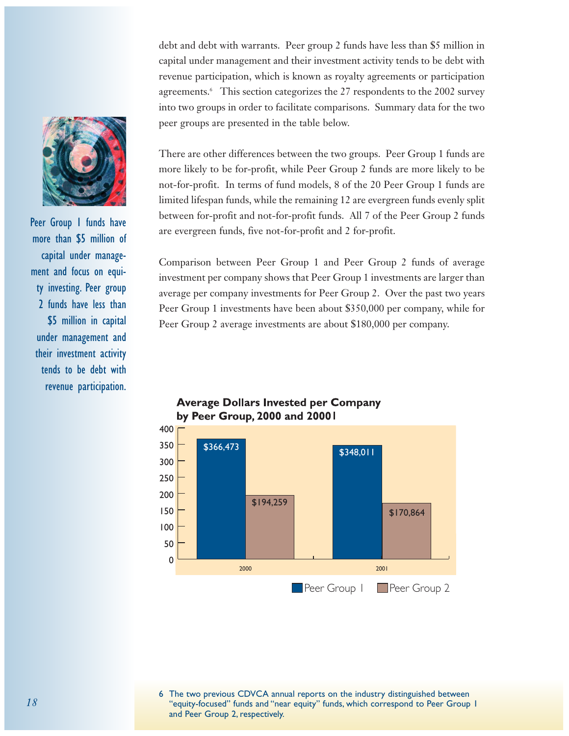debt and debt with warrants. Peer group 2 funds have less than \$5 million in capital under management and their investment activity tends to be debt with revenue participation, which is known as royalty agreements or participation agreements.<sup>6</sup> This section categorizes the 27 respondents to the 2002 survey into two groups in order to facilitate comparisons. Summary data for the two peer groups are presented in the table below.

There are other differences between the two groups. Peer Group 1 funds are more likely to be for-profit, while Peer Group 2 funds are more likely to be not-for-profit. In terms of fund models, 8 of the 20 Peer Group 1 funds are limited lifespan funds, while the remaining 12 are evergreen funds evenly split between for-profit and not-for-profit funds. All 7 of the Peer Group 2 funds are evergreen funds, five not-for-profit and 2 for-profit.

Comparison between Peer Group 1 and Peer Group 2 funds of average investment per company shows that Peer Group 1 investments are larger than average per company investments for Peer Group 2. Over the past two years Peer Group 1 investments have been about \$350,000 per company, while for Peer Group 2 average investments are about \$180,000 per company.









Peer Group I funds have more than \$5 million of capital under management and focus on equity investing. Peer group 2 funds have less than \$5 million in capital under management and their investment activity tends to be debt with revenue participation.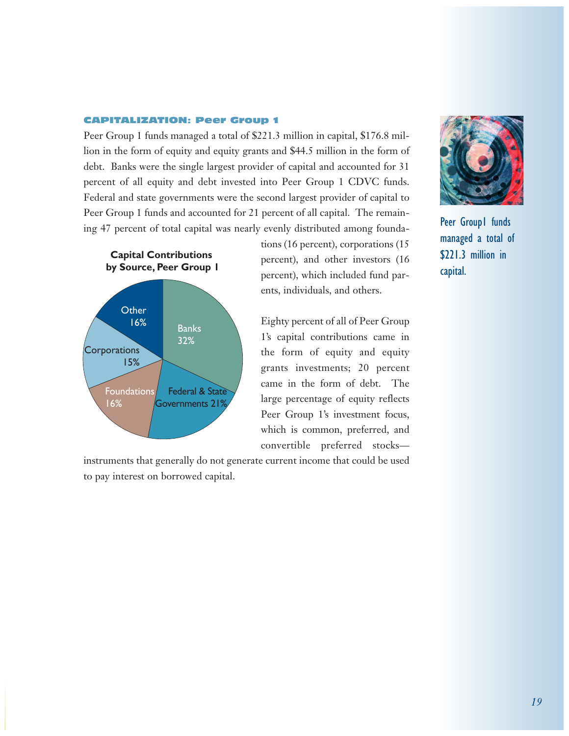#### CAPITALIZATION: Peer Group 1

Peer Group 1 funds managed a total of \$221.3 million in capital, \$176.8 million in the form of equity and equity grants and \$44.5 million in the form of debt. Banks were the single largest provider of capital and accounted for 31 percent of all equity and debt invested into Peer Group 1 CDVC funds. Federal and state governments were the second largest provider of capital to Peer Group 1 funds and accounted for 21 percent of all capital. The remaining 47 percent of total capital was nearly evenly distributed among founda-



tions (16 percent), corporations (15 percent), and other investors (16 percent), which included fund parents, individuals, and others.

Eighty percent of all of Peer Group 1's capital contributions came in the form of equity and equity grants investments; 20 percent came in the form of debt. The large percentage of equity reflects Peer Group 1's investment focus, which is common, preferred, and convertible preferred stocks—

instruments that generally do not generate current income that could be used to pay interest on borrowed capital.



Peer Group1 funds managed a total of \$221.3 million in capital.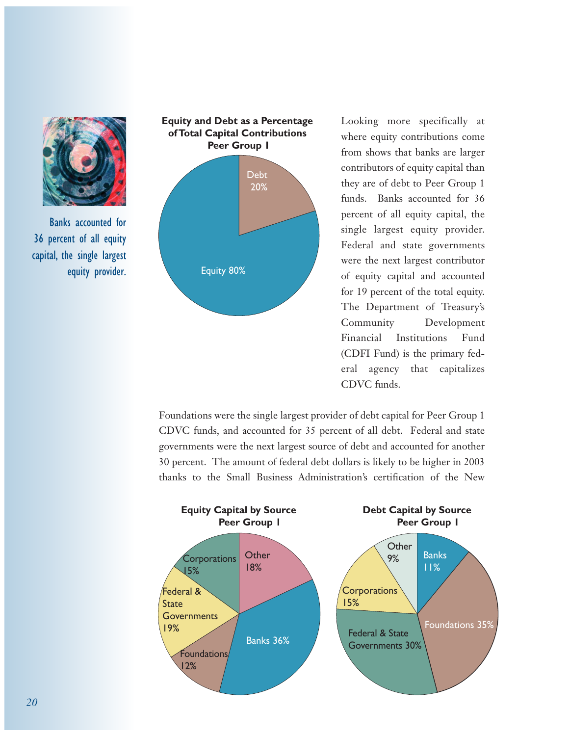

Banks accounted for 36 percent of all equity capital, the single largest equity provider.



Looking more specifically at where equity contributions come from shows that banks are larger contributors of equity capital than they are of debt to Peer Group 1 funds. Banks accounted for 36 percent of all equity capital, the single largest equity provider. Federal and state governments were the next largest contributor of equity capital and accounted for 19 percent of the total equity. The Department of Treasury's Community Development Financial Institutions Fund (CDFI Fund) is the primary federal agency that capitalizes CDVC funds.

Foundations were the single largest provider of debt capital for Peer Group 1 CDVC funds, and accounted for 35 percent of all debt. Federal and state governments were the next largest source of debt and accounted for another 30 percent. The amount of federal debt dollars is likely to be higher in 2003 thanks to the Small Business Administration's certification of the New

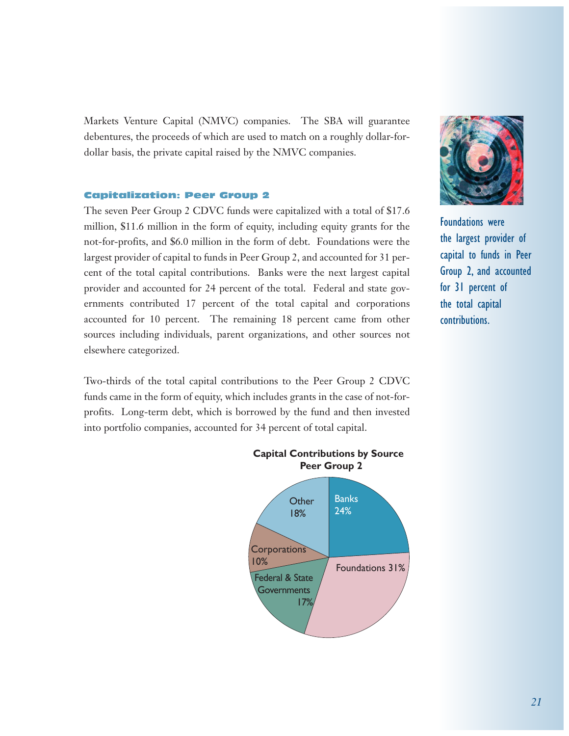Markets Venture Capital (NMVC) companies. The SBA will guarantee debentures, the proceeds of which are used to match on a roughly dollar-fordollar basis, the private capital raised by the NMVC companies.

### Capitalization: Peer Group 2

The seven Peer Group 2 CDVC funds were capitalized with a total of \$17.6 million, \$11.6 million in the form of equity, including equity grants for the not-for-profits, and \$6.0 million in the form of debt. Foundations were the largest provider of capital to funds in Peer Group 2, and accounted for 31 percent of the total capital contributions. Banks were the next largest capital provider and accounted for 24 percent of the total. Federal and state governments contributed 17 percent of the total capital and corporations accounted for 10 percent. The remaining 18 percent came from other sources including individuals, parent organizations, and other sources not elsewhere categorized.

Two-thirds of the total capital contributions to the Peer Group 2 CDVC funds came in the form of equity, which includes grants in the case of not-forprofits. Long-term debt, which is borrowed by the fund and then invested into portfolio companies, accounted for 34 percent of total capital.



Foundations were the largest provider of capital to funds in Peer Group 2, and accounted for 31 percent of the total capital contributions.



**Capital Contributions by Source Peer Group 2**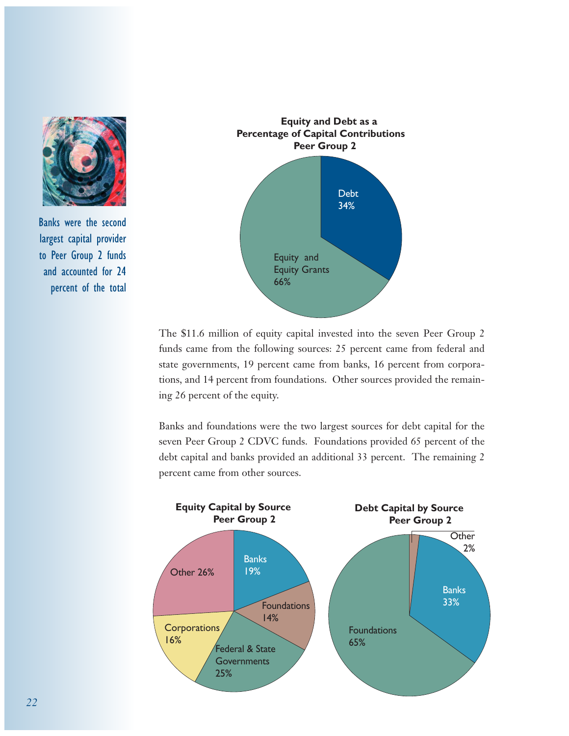

Banks were the second largest capital provider to Peer Group 2 funds and accounted for 24 percent of the total



The \$11.6 million of equity capital invested into the seven Peer Group 2 funds came from the following sources: 25 percent came from federal and state governments, 19 percent came from banks, 16 percent from corporations, and 14 percent from foundations. Other sources provided the remaining 26 percent of the equity.

Banks and foundations were the two largest sources for debt capital for the seven Peer Group 2 CDVC funds. Foundations provided 65 percent of the debt capital and banks provided an additional 33 percent. The remaining 2 percent came from other sources.

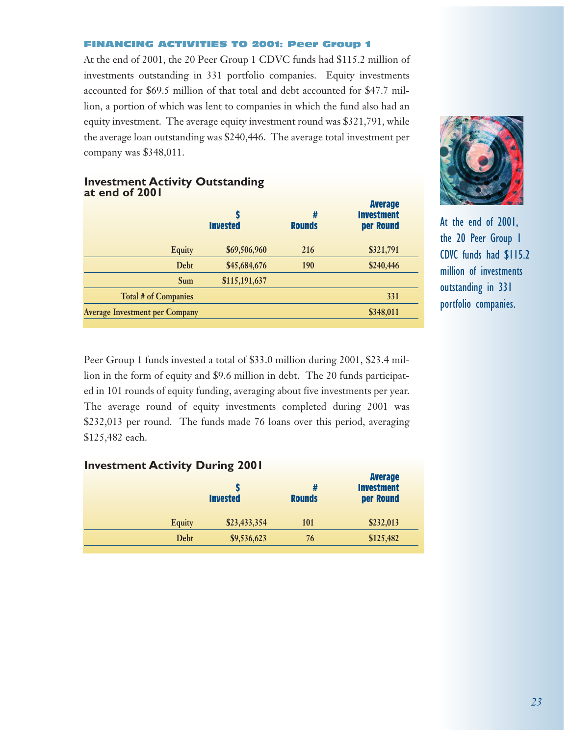#### FINANCING ACTIVITIES TO 2001: Peer Group 1

At the end of 2001, the 20 Peer Group 1 CDVC funds had \$115.2 million of investments outstanding in 331 portfolio companies. Equity investments accounted for \$69.5 million of that total and debt accounted for \$47.7 million, a portion of which was lent to companies in which the fund also had an equity investment. The average equity investment round was \$321,791, while the average loan outstanding was \$240,446. The average total investment per company was \$348,011.

|                                       | <b>Invested</b> | #<br><b>Rounds</b> | <b>Average</b><br><b>Investment</b><br>per Round |
|---------------------------------------|-----------------|--------------------|--------------------------------------------------|
| <b>Equity</b>                         | \$69,506,960    | 216                | \$321,791                                        |
| <b>Debt</b>                           | \$45,684,676    | 190                | \$240,446                                        |
| Sum                                   | \$115,191,637   |                    |                                                  |
| <b>Total # of Companies</b>           |                 |                    | 331                                              |
| <b>Average Investment per Company</b> |                 |                    | \$348,011                                        |

## **Investment Activity Outstanding at end of 2001**

Peer Group 1 funds invested a total of \$33.0 million during 2001, \$23.4 million in the form of equity and \$9.6 million in debt. The 20 funds participated in 101 rounds of equity funding, averaging about five investments per year. The average round of equity investments completed during 2001 was \$232,013 per round. The funds made 76 loans over this period, averaging \$125,482 each.

| <b>Investment Activity During 2001</b> |                 |                    | <b>Average</b>                 |
|----------------------------------------|-----------------|--------------------|--------------------------------|
|                                        | <b>Invested</b> | #<br><b>Rounds</b> | <b>Investment</b><br>per Round |
| <b>Equity</b>                          | \$23,433,354    | <b>101</b>         | \$232,013                      |
| Debt                                   | \$9,536,623     | 76                 | \$125,482                      |



At the end of 2001, the 20 Peer Group 1 CDVC funds had \$115.2 million of investments outstanding in 331 portfolio companies.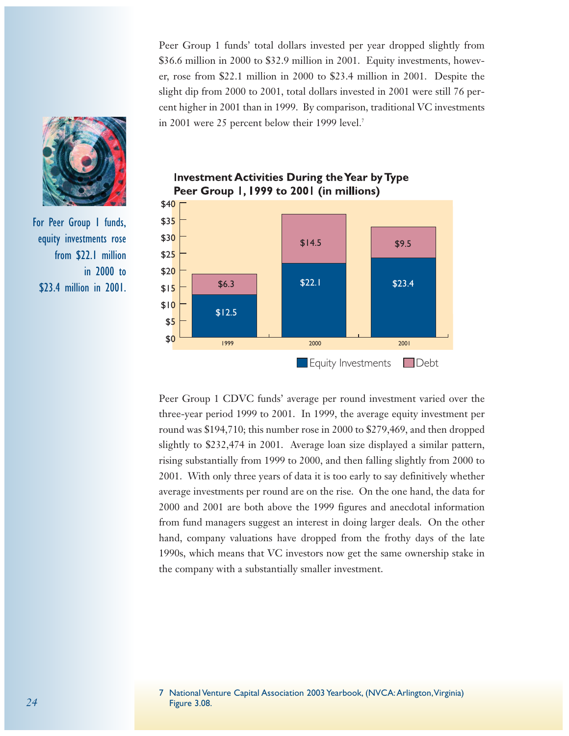Peer Group 1 funds' total dollars invested per year dropped slightly from \$36.6 million in 2000 to \$32.9 million in 2001. Equity investments, however, rose from \$22.1 million in 2000 to \$23.4 million in 2001. Despite the slight dip from 2000 to 2001, total dollars invested in 2001 were still 76 percent higher in 2001 than in 1999. By comparison, traditional VC investments in 2001 were 25 percent below their 1999 level.7



**Investment Activities During the Year by Type** Peer Group 1, 1999 to 2001 (in millions)

Peer Group 1 CDVC funds' average per round investment varied over the three-year period 1999 to 2001. In 1999, the average equity investment per round was \$194,710; this number rose in 2000 to \$279,469, and then dropped slightly to \$232,474 in 2001. Average loan size displayed a similar pattern, rising substantially from 1999 to 2000, and then falling slightly from 2000 to 2001. With only three years of data it is too early to say definitively whether average investments per round are on the rise. On the one hand, the data for 2000 and 2001 are both above the 1999 figures and anecdotal information from fund managers suggest an interest in doing larger deals. On the other hand, company valuations have dropped from the frothy days of the late 1990s, which means that VC investors now get the same ownership stake in the company with a substantially smaller investment.





For Peer Group 1 funds, equity investments rose from \$22.1 million in 2000 to \$23.4 million in 2001.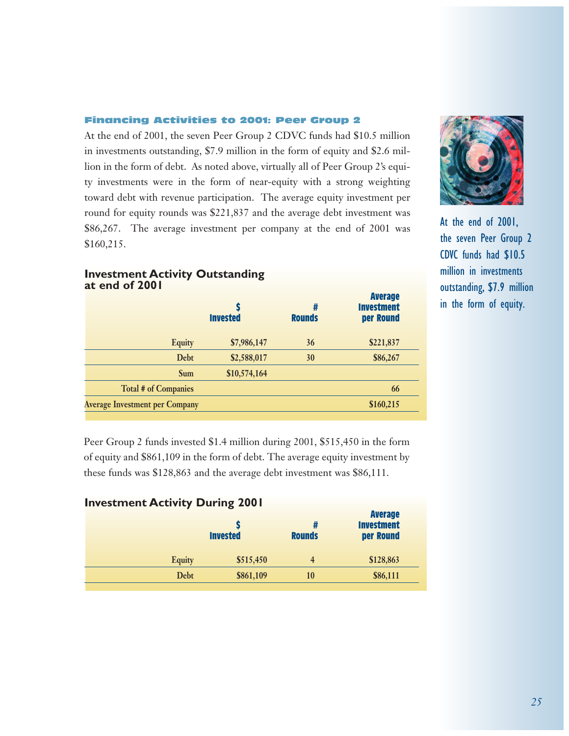## Financing Activities to 2001: Peer Group 2

At the end of 2001, the seven Peer Group 2 CDVC funds had \$10.5 million in investments outstanding, \$7.9 million in the form of equity and \$2.6 million in the form of debt. As noted above, virtually all of Peer Group 2's equity investments were in the form of near-equity with a strong weighting toward debt with revenue participation. The average equity investment per round for equity rounds was \$221,837 and the average debt investment was \$86,267. The average investment per company at the end of 2001 was \$160,215.



At the end of 2001, the seven Peer Group 2 CDVC funds had \$10.5 million in investments outstanding, \$7.9 million in the form of equity.

## **Investment Activity Outstanding at end of 2001**

|                                       | S<br><b>Invested</b> | #<br><b>Rounds</b> | <b>Average</b><br><b>Investment</b><br>per Round |
|---------------------------------------|----------------------|--------------------|--------------------------------------------------|
| <b>Equity</b>                         | \$7,986,147          | 36                 | \$221,837                                        |
| Debt                                  | \$2,588,017          | 30                 | \$86,267                                         |
| <b>Sum</b>                            | \$10,574,164         |                    |                                                  |
| <b>Total # of Companies</b>           |                      |                    | 66                                               |
| <b>Average Investment per Company</b> |                      |                    | \$160,215                                        |

Peer Group 2 funds invested \$1.4 million during 2001, \$515,450 in the form of equity and \$861,109 in the form of debt. The average equity investment by these funds was \$128,863 and the average debt investment was \$86,111.

## **Investment Activity During 2001**

|               | <b>Invested</b> | <b>Rounds</b> | <b>Average</b><br><b>Investment</b><br>per Round |
|---------------|-----------------|---------------|--------------------------------------------------|
| <b>Equity</b> | \$515,450       | 4             | \$128,863                                        |
| Debt          | \$861,109       | 10            | \$86,111                                         |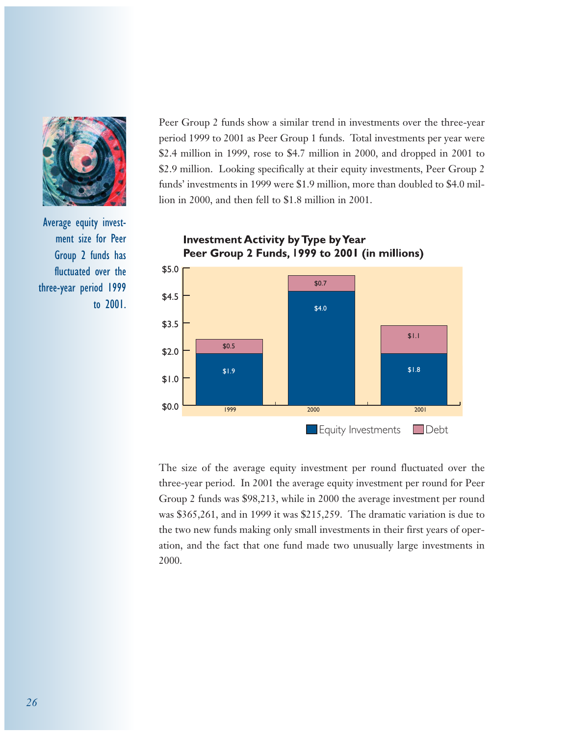

Average equity investment size for Peer Group 2 funds has fluctuated over the three-year period 1999 to 2001.

Peer Group 2 funds show a similar trend in investments over the three-year period 1999 to 2001 as Peer Group 1 funds. Total investments per year were \$2.4 million in 1999, rose to \$4.7 million in 2000, and dropped in 2001 to \$2.9 million. Looking specifically at their equity investments, Peer Group 2 funds' investments in 1999 were \$1.9 million, more than doubled to \$4.0 million in 2000, and then fell to \$1.8 million in 2001.



**Investment Activity by Type by Year** Peer Group 2 Funds, 1999 to 2001 (in millions)

The size of the average equity investment per round fluctuated over the three-year period. In 2001 the average equity investment per round for Peer Group 2 funds was \$98,213, while in 2000 the average investment per round was \$365,261, and in 1999 it was \$215,259. The dramatic variation is due to the two new funds making only small investments in their first years of operation, and the fact that one fund made two unusually large investments in 2000.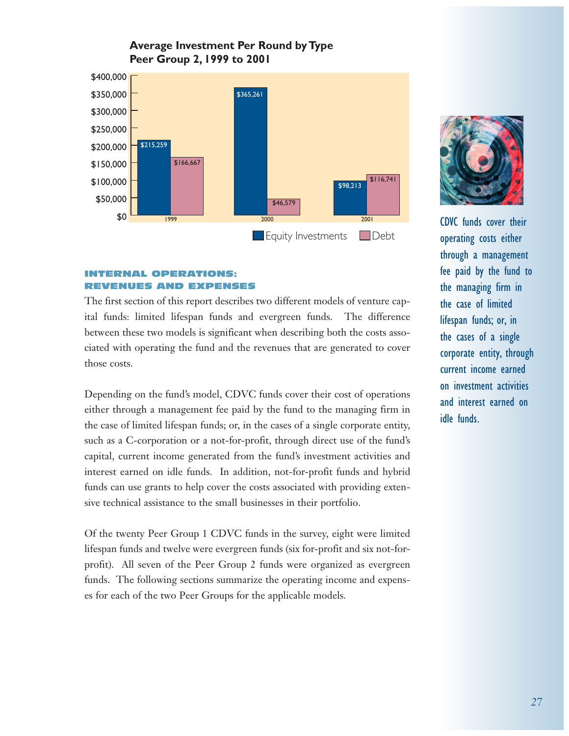# **Average Investment Per Round by Type Peer Group 2, 1999 to 2001**



## INTERNAL OPERATIONS: REVENUES AND EXPENSES

The first section of this report describes two different models of venture capital funds: limited lifespan funds and evergreen funds. The difference between these two models is significant when describing both the costs associated with operating the fund and the revenues that are generated to cover those costs.

Depending on the fund's model, CDVC funds cover their cost of operations either through a management fee paid by the fund to the managing firm in the case of limited lifespan funds; or, in the cases of a single corporate entity, such as a C-corporation or a not-for-profit, through direct use of the fund's capital, current income generated from the fund's investment activities and interest earned on idle funds. In addition, not-for-profit funds and hybrid funds can use grants to help cover the costs associated with providing extensive technical assistance to the small businesses in their portfolio.

Of the twenty Peer Group 1 CDVC funds in the survey, eight were limited lifespan funds and twelve were evergreen funds (six for-profit and six not-forprofit). All seven of the Peer Group 2 funds were organized as evergreen funds. The following sections summarize the operating income and expenses for each of the two Peer Groups for the applicable models.



CDVC funds cover their operating costs either through a management fee paid by the fund to the managing firm in the case of limited lifespan funds; or, in the cases of a single corporate entity, through current income earned on investment activities and interest earned on idle funds.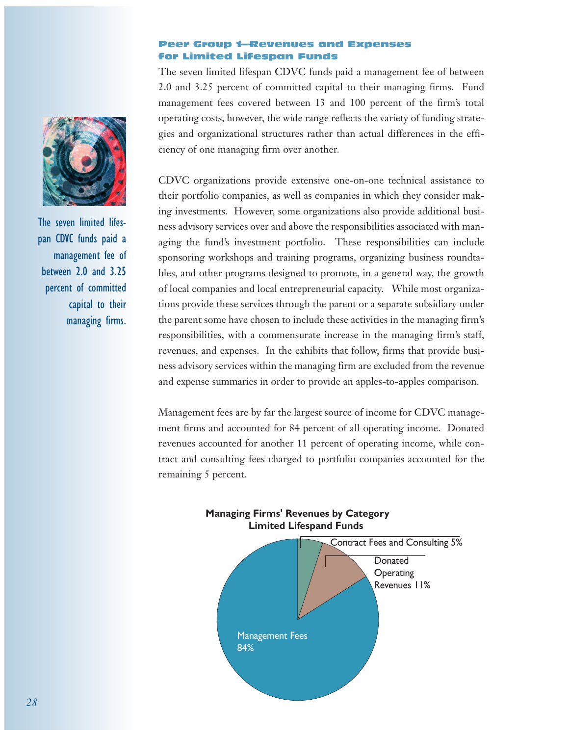## Peer Group 1—Revenues and Expenses for Limited Lifespan Funds

The seven limited lifespan CDVC funds paid a management fee of between 2.0 and 3.25 percent of committed capital to their managing firms. Fund management fees covered between 13 and 100 percent of the firm's total operating costs, however, the wide range reflects the variety of funding strategies and organizational structures rather than actual differences in the efficiency of one managing firm over another.

CDVC organizations provide extensive one-on-one technical assistance to their portfolio companies, as well as companies in which they consider making investments. However, some organizations also provide additional business advisory services over and above the responsibilities associated with managing the fund's investment portfolio. These responsibilities can include sponsoring workshops and training programs, organizing business roundtables, and other programs designed to promote, in a general way, the growth of local companies and local entrepreneurial capacity. While most organizations provide these services through the parent or a separate subsidiary under the parent some have chosen to include these activities in the managing firm's responsibilities, with a commensurate increase in the managing firm's staff, revenues, and expenses. In the exhibits that follow, firms that provide business advisory services within the managing firm are excluded from the revenue and expense summaries in order to provide an apples-to-apples comparison.

Management fees are by far the largest source of income for CDVC management firms and accounted for 84 percent of all operating income. Donated revenues accounted for another 11 percent of operating income, while contract and consulting fees charged to portfolio companies accounted for the remaining 5 percent.





The seven limited lifespan CDVC funds paid a management fee of between 2.0 and 3.25 percent of committed capital to their managing firms.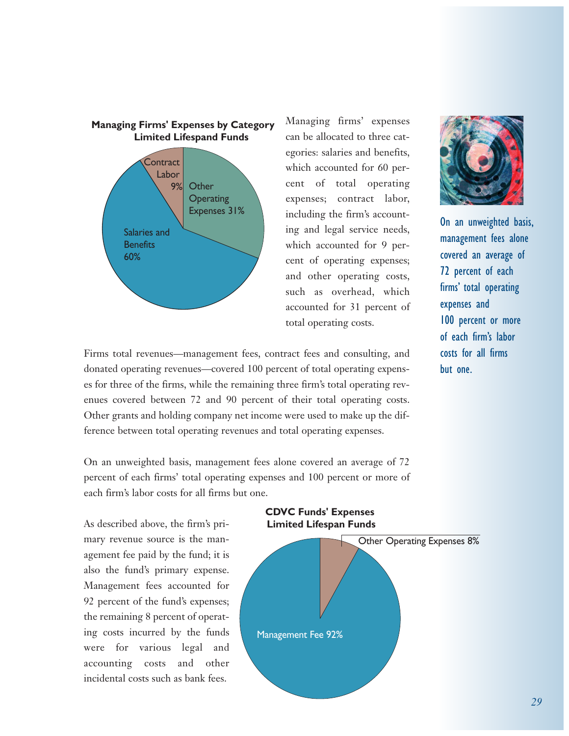

Managing firms' expenses can be allocated to three categories: salaries and benefits, which accounted for 60 percent of total operating expenses; contract labor, including the firm's accounting and legal service needs, which accounted for 9 percent of operating expenses; and other operating costs, such as overhead, which accounted for 31 percent of total operating costs.



On an unweighted basis, management fees alone covered an average of 72 percent of each firms' total operating expenses and 100 percent or more of each firm's labor costs for all firms but one.

As described above, the firm's primary revenue source is the management fee paid by the fund; it is also the fund's primary expense. Management fees accounted for 92 percent of the fund's expenses; the remaining 8 percent of operating costs incurred by the funds were for various legal and accounting costs and other incidental costs such as bank fees.



On an unweighted basis, management fees alone covered an average of 72 percent of each firms' total operating expenses and 100 percent or more of each firm's labor costs for all firms but one.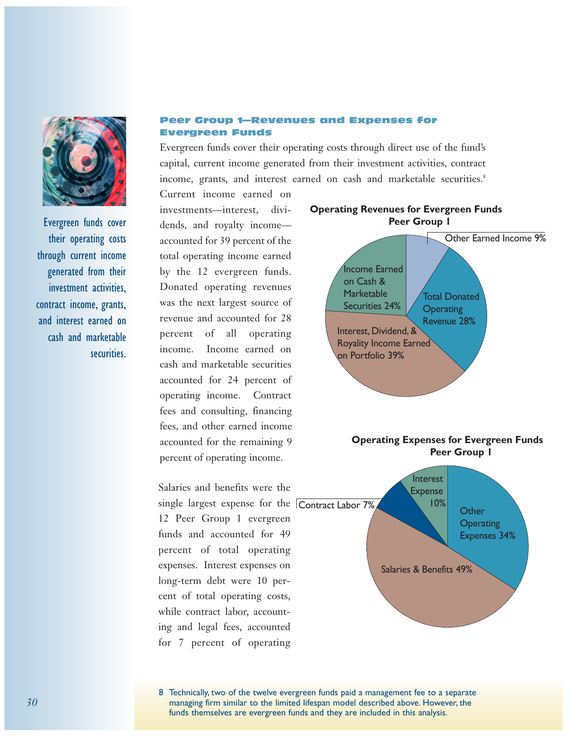

Evergreen funds cover their operating costs through current income generated from their investment activities, contract income, grants, and interest earned on cash and marketable securities.

## Peer Group 1—Revenues and Expenses for Evergreen Funds

Evergreen funds cover their operating costs through direct use of the fund's capital, current income generated from their investment activities, contract income, grants, and interest earned on cash and marketable securities.<sup>8</sup>

Current income earned on investments—interest, dividends, and royalty income accounted for 39 percent of the total operating income earned by the 12 evergreen funds. Donated operating revenues was the next largest source of revenue and accounted for 28 percent of all operating income. Income earned on cash and marketable securities accounted for 24 percent of operating income. Contract fees and consulting, financing fees, and other earned income accounted for the remaining 9 percent of operating income.

Salaries and benefits were the 12 Peer Group 1 evergreen funds and accounted for 49 percent of total operating expenses. Interest expenses on long-term debt were 10 percent of total operating costs, while contract labor, accounting and legal fees, accounted for 7 percent of operating



**Operating Revenues for Evergreen Funds**

8 Technically, two of the twelve evergreen funds paid a management fee to a separate managing firm similar to the limited lifespan model described above. However, the funds themselves are evergreen funds and they are included in this analysis.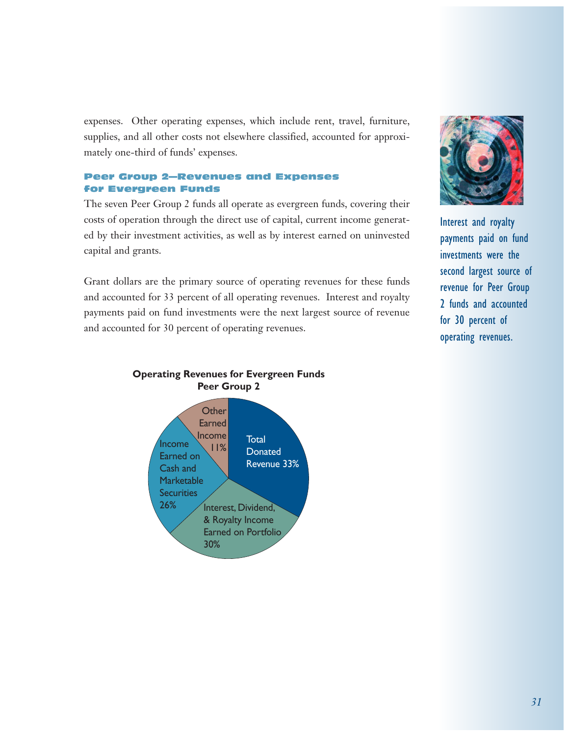expenses. Other operating expenses, which include rent, travel, furniture, supplies, and all other costs not elsewhere classified, accounted for approximately one-third of funds' expenses.

## Peer Group 2—Revenues and Expenses for Evergreen Funds

The seven Peer Group 2 funds all operate as evergreen funds, covering their costs of operation through the direct use of capital, current income generated by their investment activities, as well as by interest earned on uninvested capital and grants.

Grant dollars are the primary source of operating revenues for these funds and accounted for 33 percent of all operating revenues. Interest and royalty payments paid on fund investments were the next largest source of revenue and accounted for 30 percent of operating revenues.



Interest and royalty payments paid on fund investments were the second largest source of revenue for Peer Group 2 funds and accounted for 30 percent of operating revenues.



## **Operating Revenues for Evergreen Funds Peer Group 2**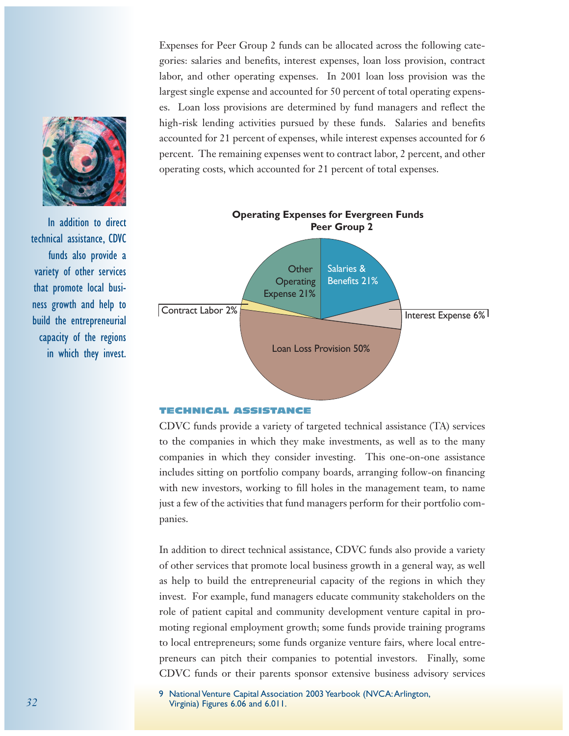Expenses for Peer Group 2 funds can be allocated across the following categories: salaries and benefits, interest expenses, loan loss provision, contract labor, and other operating expenses. In 2001 loan loss provision was the largest single expense and accounted for 50 percent of total operating expenses. Loan loss provisions are determined by fund managers and reflect the high-risk lending activities pursued by these funds. Salaries and benefits accounted for 21 percent of expenses, while interest expenses accounted for 6 percent. The remaining expenses went to contract labor, 2 percent, and other operating costs, which accounted for 21 percent of total expenses.



#### TECHNICAL ASSISTANCE

CDVC funds provide a variety of targeted technical assistance (TA) services to the companies in which they make investments, as well as to the many companies in which they consider investing. This one-on-one assistance includes sitting on portfolio company boards, arranging follow-on financing with new investors, working to fill holes in the management team, to name just a few of the activities that fund managers perform for their portfolio companies.

In addition to direct technical assistance, CDVC funds also provide a variety of other services that promote local business growth in a general way, as well as help to build the entrepreneurial capacity of the regions in which they invest. For example, fund managers educate community stakeholders on the role of patient capital and community development venture capital in promoting regional employment growth; some funds provide training programs to local entrepreneurs; some funds organize venture fairs, where local entrepreneurs can pitch their companies to potential investors. Finally, some CDVC funds or their parents sponsor extensive business advisory services

9 National Venture Capital Association 2003 Yearbook (NVCA:Arlington, Virginia) Figures 6.06 and 6.011.



In addition to direct technical assistance, CDVC funds also provide a variety of other services that promote local business growth and help to build the entrepreneurial capacity of the regions in which they invest.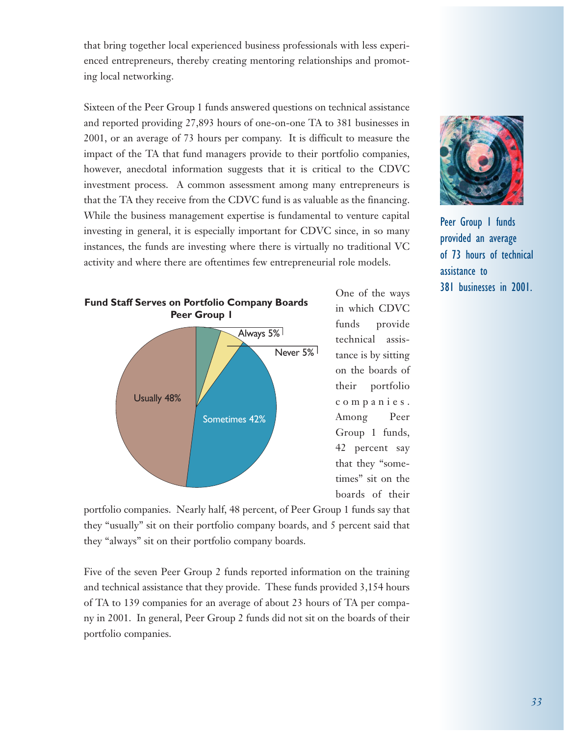that bring together local experienced business professionals with less experienced entrepreneurs, thereby creating mentoring relationships and promoting local networking.

Sixteen of the Peer Group 1 funds answered questions on technical assistance and reported providing 27,893 hours of one-on-one TA to 381 businesses in 2001, or an average of 73 hours per company. It is difficult to measure the impact of the TA that fund managers provide to their portfolio companies, however, anecdotal information suggests that it is critical to the CDVC investment process. A common assessment among many entrepreneurs is that the TA they receive from the CDVC fund is as valuable as the financing. While the business management expertise is fundamental to venture capital investing in general, it is especially important for CDVC since, in so many instances, the funds are investing where there is virtually no traditional VC activity and where there are oftentimes few entrepreneurial role models.



One of the ways in which CDVC funds provide technical assistance is by sitting on the boards of their portfolio companies. Among Peer Group 1 funds, 42 percent say that they "sometimes" sit on the boards of their



Peer Group 1 funds provided an average of 73 hours of technical assistance to 381 businesses in 2001.

portfolio companies. Nearly half, 48 percent, of Peer Group 1 funds say that they "usually" sit on their portfolio company boards, and 5 percent said that they "always" sit on their portfolio company boards.

Five of the seven Peer Group 2 funds reported information on the training and technical assistance that they provide. These funds provided 3,154 hours of TA to 139 companies for an average of about 23 hours of TA per company in 2001. In general, Peer Group 2 funds did not sit on the boards of their portfolio companies.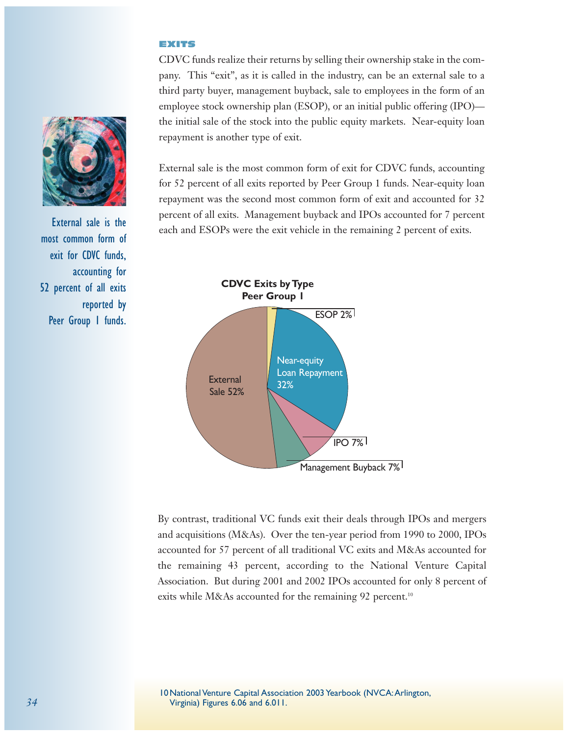## EXITS

CDVC funds realize their returns by selling their ownership stake in the company. This "exit", as it is called in the industry, can be an external sale to a third party buyer, management buyback, sale to employees in the form of an employee stock ownership plan (ESOP), or an initial public offering (IPO) the initial sale of the stock into the public equity markets. Near-equity loan repayment is another type of exit.

External sale is the most common form of exit for CDVC funds, accounting for 52 percent of all exits reported by Peer Group 1 funds. Near-equity loan repayment was the second most common form of exit and accounted for 32 percent of all exits. Management buyback and IPOs accounted for 7 percent External sale is the each and ESOPs were the exit vehicle in the remaining 2 percent of exits.



By contrast, traditional VC funds exit their deals through IPOs and mergers and acquisitions (M&As). Over the ten-year period from 1990 to 2000, IPOs accounted for 57 percent of all traditional VC exits and M&As accounted for the remaining 43 percent, according to the National Venture Capital Association. But during 2001 and 2002 IPOs accounted for only 8 percent of exits while M&As accounted for the remaining 92 percent.<sup>10</sup>





most common form of exit for CDVC funds, accounting for 52 percent of all exits reported by Peer Group 1 funds.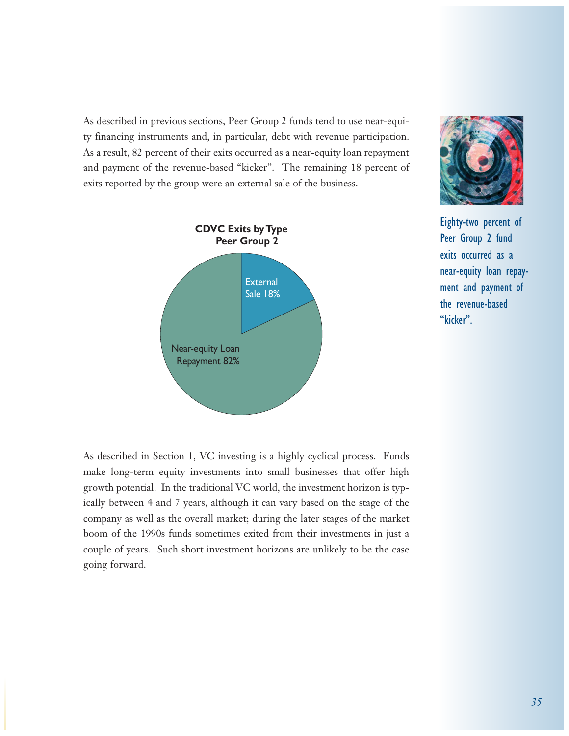As described in previous sections, Peer Group 2 funds tend to use near-equity financing instruments and, in particular, debt with revenue participation. As a result, 82 percent of their exits occurred as a near-equity loan repayment and payment of the revenue-based "kicker". The remaining 18 percent of exits reported by the group were an external sale of the business.





Eighty-two percent of Peer Group 2 fund exits occurred as a near-equity loan repayment and payment of the revenue-based "kicker".

As described in Section 1, VC investing is a highly cyclical process. Funds make long-term equity investments into small businesses that offer high growth potential. In the traditional VC world, the investment horizon is typically between 4 and 7 years, although it can vary based on the stage of the company as well as the overall market; during the later stages of the market boom of the 1990s funds sometimes exited from their investments in just a couple of years. Such short investment horizons are unlikely to be the case going forward.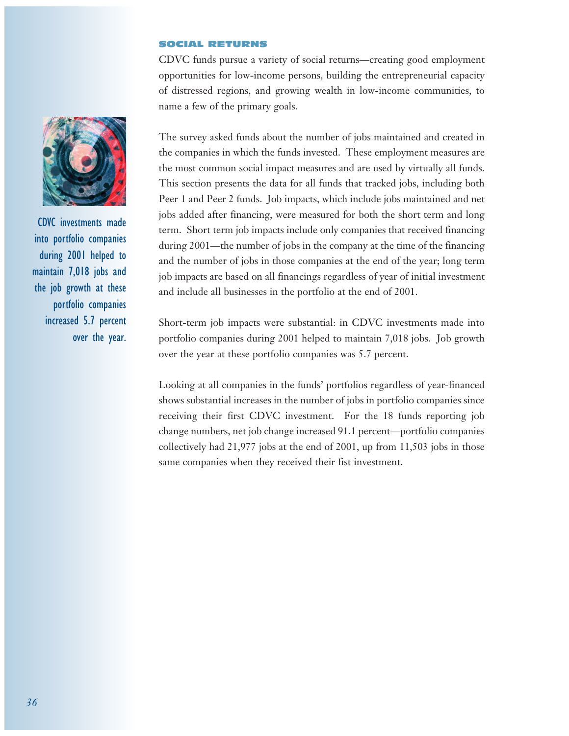#### SOCIAL RETURNS

CDVC funds pursue a variety of social returns—creating good employment opportunities for low-income persons, building the entrepreneurial capacity of distressed regions, and growing wealth in low-income communities, to name a few of the primary goals.

The survey asked funds about the number of jobs maintained and created in the companies in which the funds invested. These employment measures are the most common social impact measures and are used by virtually all funds. This section presents the data for all funds that tracked jobs, including both Peer 1 and Peer 2 funds. Job impacts, which include jobs maintained and net jobs added after financing, were measured for both the short term and long term. Short term job impacts include only companies that received financing during 2001—the number of jobs in the company at the time of the financing and the number of jobs in those companies at the end of the year; long term job impacts are based on all financings regardless of year of initial investment and include all businesses in the portfolio at the end of 2001.

Short-term job impacts were substantial: in CDVC investments made into portfolio companies during 2001 helped to maintain 7,018 jobs. Job growth over the year at these portfolio companies was 5.7 percent.

Looking at all companies in the funds' portfolios regardless of year-financed shows substantial increases in the number of jobs in portfolio companies since receiving their first CDVC investment. For the 18 funds reporting job change numbers, net job change increased 91.1 percent—portfolio companies collectively had 21,977 jobs at the end of 2001, up from 11,503 jobs in those same companies when they received their fist investment.



CDVC investments made into portfolio companies during 2001 helped to maintain 7,018 jobs and the job growth at these portfolio companies increased 5.7 percent over the year.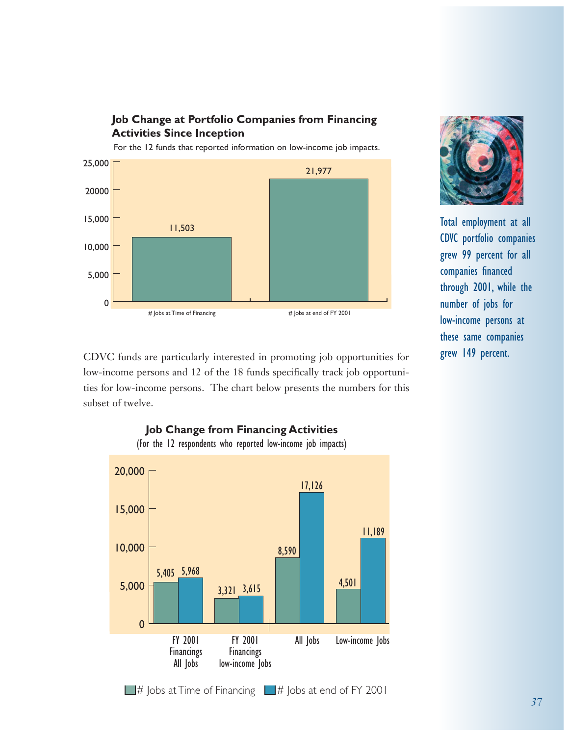

For the 12 funds that reported information on low-income job impacts.



CDVC funds are particularly interested in promoting job opportunities for low-income persons and 12 of the 18 funds specifically track job opportunities for low-income persons. The chart below presents the numbers for this subset of twelve.



**Job Change from Financing Activities**  (For the 12 respondents who reported low-income job impacts)



Total employment at all CDVC portfolio companies grew 99 percent for all companies financed through 2001, while the number of jobs for low-income persons at these same companies grew 149 percent.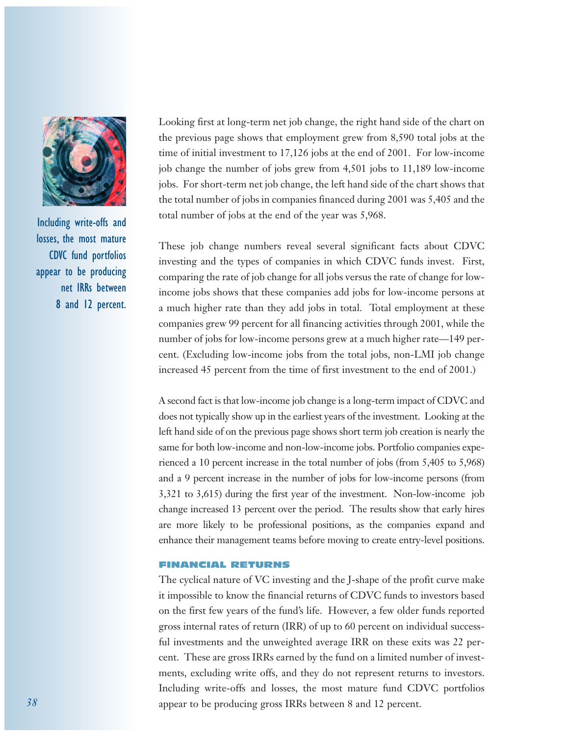

Including write-offs and losses, the most mature CDVC fund portfolios appear to be producing net IRRs between 8 and 12 percent.

Looking first at long-term net job change, the right hand side of the chart on the previous page shows that employment grew from 8,590 total jobs at the time of initial investment to 17,126 jobs at the end of 2001. For low-income job change the number of jobs grew from 4,501 jobs to 11,189 low-income jobs. For short-term net job change, the left hand side of the chart shows that the total number of jobs in companies financed during 2001 was 5,405 and the total number of jobs at the end of the year was 5,968.

These job change numbers reveal several significant facts about CDVC investing and the types of companies in which CDVC funds invest. First, comparing the rate of job change for all jobs versus the rate of change for lowincome jobs shows that these companies add jobs for low-income persons at a much higher rate than they add jobs in total. Total employment at these companies grew 99 percent for all financing activities through 2001, while the number of jobs for low-income persons grew at a much higher rate—149 percent. (Excluding low-income jobs from the total jobs, non-LMI job change increased 45 percent from the time of first investment to the end of 2001.)

A second fact is that low-income job change is a long-term impact of CDVC and does not typically show up in the earliest years of the investment. Looking at the left hand side of on the previous page shows short term job creation is nearly the same for both low-income and non-low-income jobs. Portfolio companies experienced a 10 percent increase in the total number of jobs (from 5,405 to 5,968) and a 9 percent increase in the number of jobs for low-income persons (from 3,321 to 3,615) during the first year of the investment. Non-low-income job change increased 13 percent over the period. The results show that early hires are more likely to be professional positions, as the companies expand and enhance their management teams before moving to create entry-level positions.

## FINANCIAL RETURNS

The cyclical nature of VC investing and the J-shape of the profit curve make it impossible to know the financial returns of CDVC funds to investors based on the first few years of the fund's life. However, a few older funds reported gross internal rates of return (IRR) of up to 60 percent on individual successful investments and the unweighted average IRR on these exits was 22 percent. These are gross IRRs earned by the fund on a limited number of investments, excluding write offs, and they do not represent returns to investors. Including write-offs and losses, the most mature fund CDVC portfolios appear to be producing gross IRRs between 8 and 12 percent.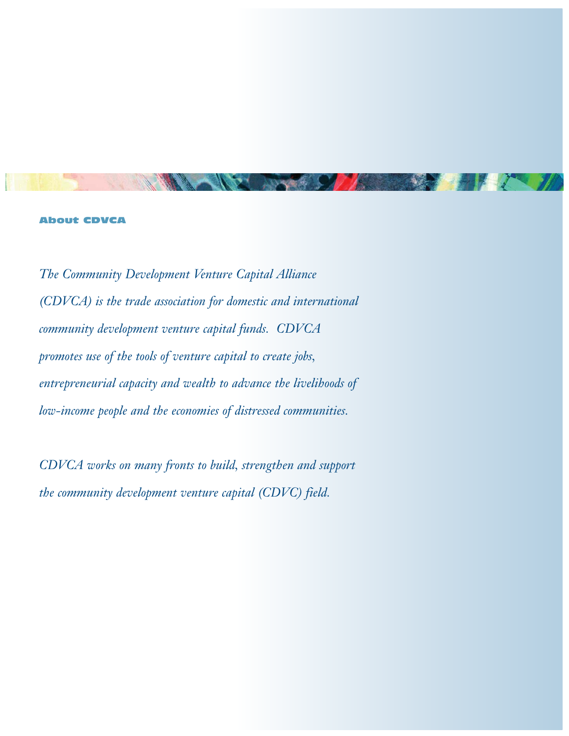#### About CDVCA

*The Community Development Venture Capital Alliance (CDVCA) is the trade association for domestic and international community development venture capital funds. CDVCA promotes use of the tools of venture capital to create jobs, entrepreneurial capacity and wealth to advance the livelihoods of low-income people and the economies of distressed communities.* 

*CDVCA works on many fronts to build, strengthen and support the community development venture capital (CDVC) field.*